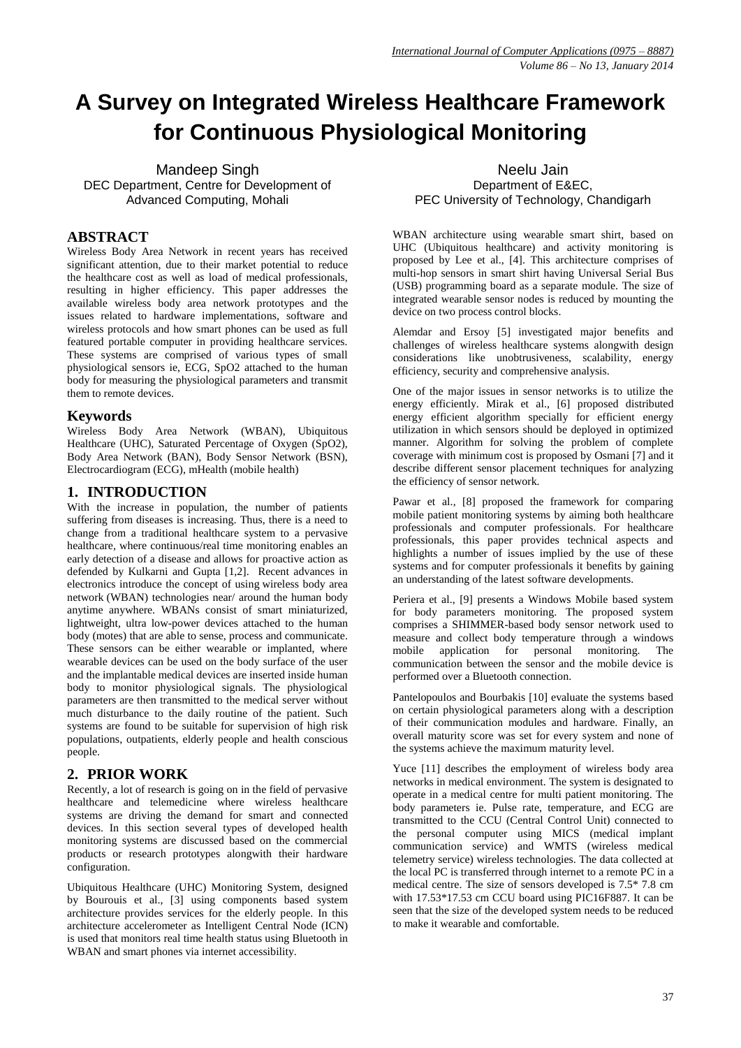# **A Survey on Integrated Wireless Healthcare Framework for Continuous Physiological Monitoring**

Mandeep Singh DEC Department, Centre for Development of Advanced Computing, Mohali

## **ABSTRACT**

Wireless Body Area Network in recent years has received significant attention, due to their market potential to reduce the healthcare cost as well as load of medical professionals, resulting in higher efficiency. This paper addresses the available wireless body area network prototypes and the issues related to hardware implementations, software and wireless protocols and how smart phones can be used as full featured portable computer in providing healthcare services. These systems are comprised of various types of small physiological sensors ie, ECG, SpO2 attached to the human body for measuring the physiological parameters and transmit them to remote devices.

### **Keywords**

Wireless Body Area Network (WBAN), Ubiquitous Healthcare (UHC), Saturated Percentage of Oxygen (SpO2), Body Area Network (BAN), Body Sensor Network (BSN), Electrocardiogram (ECG), mHealth (mobile health)

## **1. INTRODUCTION**

With the increase in population, the number of patients suffering from diseases is increasing. Thus, there is a need to change from a traditional healthcare system to a pervasive healthcare, where continuous/real time monitoring enables an early detection of a disease and allows for proactive action as defended by Kulkarni and Gupta [1,2]. Recent advances in electronics introduce the concept of using [wireless body area](http://en.wikipedia.org/wiki/Wireless_personal_area_network)  [network](http://en.wikipedia.org/wiki/Wireless_personal_area_network) (WBAN) technologies near/ around the human body anytime anywhere. WBANs consist of smart miniaturized, lightweight, ultra low-power devices attached to the human body (motes) that are able to sense, process and communicate. These sensors can be either wearable or implanted, where wearable devices can be used on the body surface of the user and the implantable medical devices are inserted inside human body to monitor physiological signals. The physiological parameters are then transmitted to the medical server without much disturbance to the daily routine of the patient. Such systems are found to be suitable for supervision of high risk populations, outpatients, elderly people and health conscious people.

## **2. PRIOR WORK**

Recently, a lot of research is going on in the field of pervasive healthcare and telemedicine where wireless healthcare systems are driving the demand for smart and connected devices. In this section several types of developed health monitoring systems are discussed based on the commercial products or research prototypes alongwith their hardware configuration.

Ubiquitous Healthcare (UHC) Monitoring System, designed by Bourouis et al., [3] using components based system architecture provides services for the elderly people. In this architecture accelerometer as Intelligent Central Node (ICN) is used that monitors real time health status using Bluetooth in WBAN and smart phones via internet accessibility.

Neelu Jain Department of E&EC, PEC University of Technology, Chandigarh

WBAN architecture using wearable smart shirt, based on UHC (Ubiquitous healthcare) and activity monitoring is proposed by Lee et al., [4]. This architecture comprises of multi-hop sensors in smart shirt having Universal Serial Bus (USB) programming board as a separate module. The size of integrated wearable sensor nodes is reduced by mounting the device on two process control blocks.

Alemdar and Ersoy [5] investigated major benefits and challenges of wireless healthcare systems alongwith design considerations like unobtrusiveness, scalability, energy efficiency, security and comprehensive analysis.

One of the major issues in sensor networks is to utilize the energy efficiently. Mirak et al., [6] proposed distributed energy efficient algorithm specially for efficient energy utilization in which sensors should be deployed in optimized manner. Algorithm for solving the problem of complete coverage with minimum cost is proposed by Osmani [7] and it describe different sensor placement techniques for analyzing the efficiency of sensor network.

Pawar et al., [8] proposed the framework for comparing mobile patient monitoring systems by aiming both healthcare professionals and computer professionals. For healthcare professionals, this paper provides technical aspects and highlights a number of issues implied by the use of these systems and for computer professionals it benefits by gaining an understanding of the latest software developments.

Periera et al., [9] presents a Windows Mobile based system for body parameters monitoring. The proposed system comprises a SHIMMER-based body sensor network used to measure and collect body temperature through a windows<br>mobile application for personal monitoring. The application for personal communication between the sensor and the mobile device is performed over a Bluetooth connection.

Pantelopoulos and Bourbakis [10] evaluate the systems based on certain physiological parameters along with a description of their communication modules and hardware. Finally, an overall maturity score was set for every system and none of the systems achieve the maximum maturity level.

Yuce [11] describes the employment of wireless body area networks in medical environment. The system is designated to operate in a medical centre for multi patient monitoring. The body parameters ie. Pulse rate, temperature, and ECG are transmitted to the CCU (Central Control Unit) connected to the personal computer using MICS (medical implant communication service) and WMTS (wireless medical telemetry service) wireless technologies. The data collected at the local PC is transferred through internet to a remote PC in a medical centre. The size of sensors developed is 7.5\* 7.8 cm with 17.53\*17.53 cm CCU board using PIC16F887. It can be seen that the size of the developed system needs to be reduced to make it wearable and comfortable.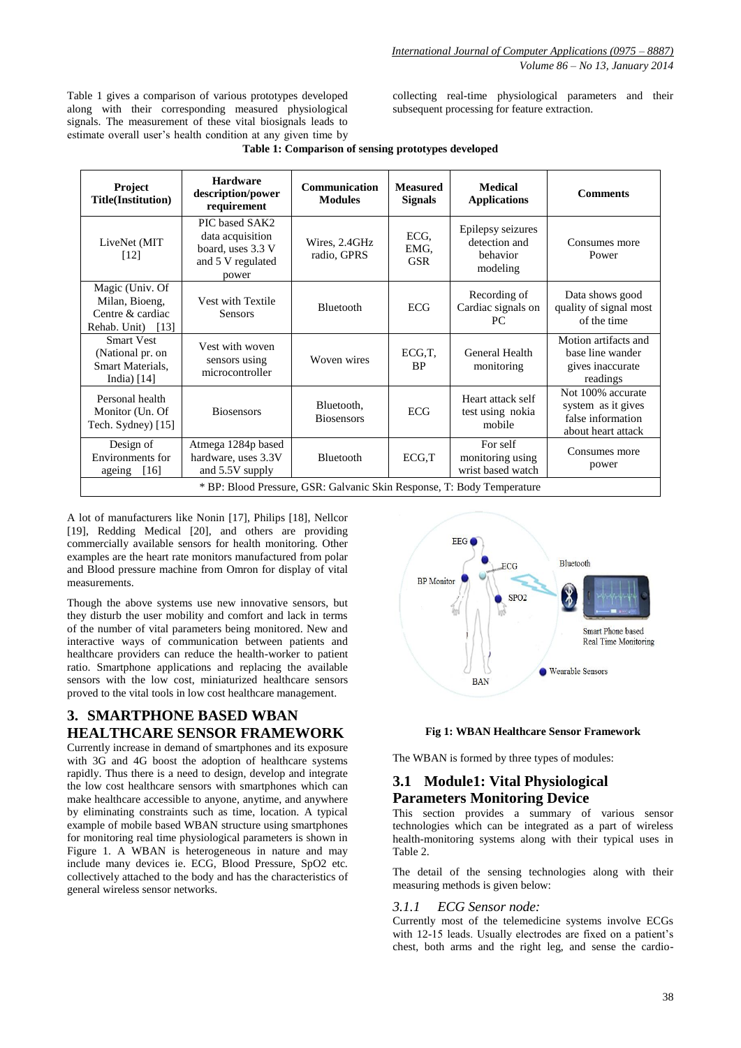Table 1 gives a comparison of various prototypes developed along with their corresponding measured physiological signals. The measurement of these vital biosignals leads to estimate overall user's health condition at any given time by collecting real-time physiological parameters and their subsequent processing for feature extraction.

| Project<br><b>Title(Institution)</b>                                       | <b>Hardware</b><br>description/power<br>requirement                                   | Communication<br><b>Modules</b> | <b>Measured</b><br><b>Signals</b> | <b>Medical</b><br><b>Applications</b>                      | <b>Comments</b>                                                                    |  |
|----------------------------------------------------------------------------|---------------------------------------------------------------------------------------|---------------------------------|-----------------------------------|------------------------------------------------------------|------------------------------------------------------------------------------------|--|
| LiveNet (MIT<br>$[12]$                                                     | PIC based SAK2<br>data acquisition<br>board, uses 3.3 V<br>and 5 V regulated<br>power | Wires, 2.4GHz<br>radio, GPRS    | ECG,<br>EMG,<br><b>GSR</b>        | Epilepsy seizures<br>detection and<br>behavior<br>modeling | Consumes more<br>Power                                                             |  |
| Magic (Univ. Of<br>Milan, Bioeng,<br>Centre & cardiac<br>Rehab. Unit) [13] | Vest with Textile<br><b>Sensors</b>                                                   | Bluetooth                       | <b>ECG</b>                        | Recording of<br>Cardiac signals on<br>PC                   | Data shows good<br>quality of signal most<br>of the time                           |  |
| <b>Smart Vest</b><br>(National pr. on<br>Smart Materials,<br>India) $[14]$ | Vest with woven<br>sensors using<br>microcontroller                                   | Woven wires                     | ECG.T.<br><b>BP</b>               | General Health<br>monitoring                               | Motion artifacts and<br>base line wander<br>gives inaccurate<br>readings           |  |
| Personal health<br>Monitor (Un. Of<br>Tech. Sydney) [15]                   | <b>Biosensors</b>                                                                     | Bluetooth,<br><b>Biosensors</b> | <b>ECG</b>                        | Heart attack self<br>test using nokia<br>mobile            | Not 100% accurate<br>system as it gives<br>false information<br>about heart attack |  |
| Design of<br>Environments for<br>[16]<br>ageing                            | Atmega 1284p based<br>hardware, uses 3.3V<br>and 5.5V supply                          | Bluetooth                       | ECG.T                             | For self<br>monitoring using<br>wrist based watch          | Consumes more<br>power                                                             |  |
| * BP: Blood Pressure, GSR: Galvanic Skin Response, T: Body Temperature     |                                                                                       |                                 |                                   |                                                            |                                                                                    |  |

#### **Table 1: Comparison of sensing prototypes developed**

A lot of manufacturers like Nonin [17], Philips [18], Nellcor [19], Redding Medical [20], and others are providing commercially available sensors for health monitoring. Other examples are the heart rate monitors manufactured from polar and Blood pressure machine from Omron for display of vital measurements.

Though the above systems use new innovative sensors, but they disturb the user mobility and comfort and lack in terms of the number of vital parameters being monitored. New and interactive ways of communication between patients and healthcare providers can reduce the health-worker to patient ratio. Smartphone applications and replacing the available sensors with the low cost, miniaturized healthcare sensors proved to the vital tools in low cost healthcare management.

## **3. SMARTPHONE BASED WBAN HEALTHCARE SENSOR FRAMEWORK**

Currently increase in demand of smartphones and its exposure with 3G and 4G boost the adoption of healthcare systems rapidly. Thus there is a need to design, develop and integrate the low cost healthcare sensors with smartphones which can make healthcare accessible to anyone, anytime, and anywhere by eliminating constraints such as time, location. A typical example of mobile based WBAN structure using smartphones for monitoring real time physiological parameters is shown in Figure 1. A WBAN is heterogeneous in nature and may include many devices ie. ECG, Blood Pressure, SpO2 etc. collectively attached to the body and has the characteristics of general wireless sensor networks.



#### **Fig 1: WBAN Healthcare Sensor Framework**

The WBAN is formed by three types of modules:

## **3.1 Module1: Vital Physiological Parameters Monitoring Device**

This section provides a summary of various sensor technologies which can be integrated as a part of wireless health-monitoring systems along with their typical uses in Table 2.

The detail of the sensing technologies along with their measuring methods is given below:

#### *3.1.1 ECG Sensor node:*

Currently most of the telemedicine systems involve ECGs with 12-15 leads. Usually electrodes are fixed on a patient's chest, both arms and the right leg, and sense the cardio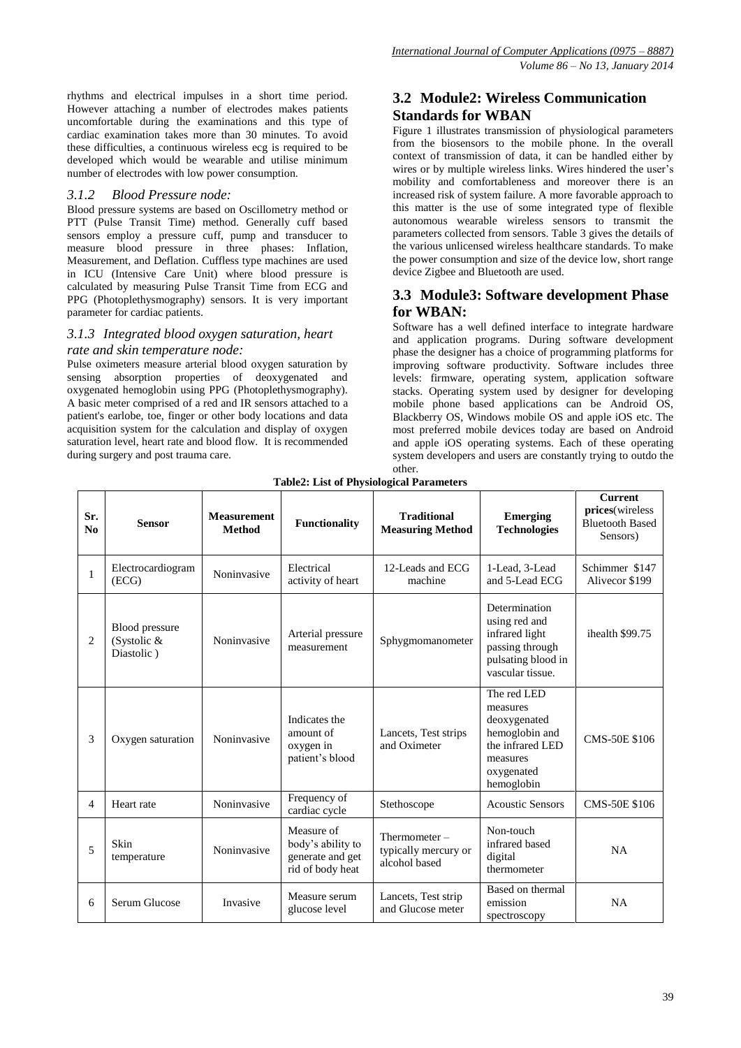rhythms and electrical impulses in a short time period. However attaching a number of electrodes makes patients uncomfortable during the examinations and this type of cardiac examination takes more than 30 minutes. To avoid these difficulties, a continuous wireless ecg is required to be developed which would be wearable and utilise minimum number of electrodes with low power consumption.

## *3.1.2 Blood Pressure node:*

Blood pressure systems are based on Oscillometry method or PTT (Pulse Transit Time) method. Generally cuff based sensors employ a pressure cuff, pump and transducer to measure blood pressure in three phases: Inflation, Measurement, and Deflation. Cuffless type machines are used in ICU (Intensive Care Unit) where blood pressure is calculated by measuring Pulse Transit Time from ECG and PPG (Photoplethysmography) sensors. It is very important parameter for cardiac patients.

## *3.1.3 Integrated blood oxygen saturation, heart rate and skin temperature node:*

Pulse oximeters measure arterial blood oxygen saturation by sensing absorption properties of deoxygenated and oxygenated hemoglobin using PPG (Photoplethysmography). A basic meter comprised of a red and IR sensors attached to a patient's earlobe, toe, finger or other body locations and data acquisition system for the calculation and display of oxygen saturation level, heart rate and blood flow. It is recommended during surgery and post trauma care.

# **3.2 Module2: Wireless Communication Standards for WBAN**

Figure 1 illustrates transmission of physiological parameters from the biosensors to the mobile phone. In the overall context of transmission of data, it can be handled either by wires or by multiple wireless links. Wires hindered the user's mobility and comfortableness and moreover there is an increased risk of system failure. A more favorable approach to this matter is the use of some integrated type of flexible autonomous wearable wireless sensors to transmit the parameters collected from sensors. Table 3 gives the details of the various unlicensed wireless healthcare standards. To make the power consumption and size of the device low, short range device Zigbee and Bluetooth are used.

# **3.3 Module3: Software development Phase for WBAN:**

Software has a well defined interface to integrate hardware and application programs. During software development phase the designer has a choice of programming platforms for improving software productivity. Software includes three levels: firmware, operating system, application software stacks. Operating system used by designer for developing mobile phone based applications can be Android OS, Blackberry OS, Windows mobile OS and apple iOS etc. The most preferred mobile devices today are based on Android and apple iOS operating systems. Each of these operating system developers and users are constantly trying to outdo the other.

| Sr.<br>N <sub>0</sub> | <b>Sensor</b>                                 | <b>Measurement</b><br><b>Method</b> | <b>Functionality</b>                                                    | <b>Traditional</b><br><b>Measuring Method</b>            | <b>Emerging</b><br><b>Technologies</b>                                                                                | <b>Current</b><br><b>prices</b> (wireless<br><b>Bluetooth Based</b><br>Sensors) |
|-----------------------|-----------------------------------------------|-------------------------------------|-------------------------------------------------------------------------|----------------------------------------------------------|-----------------------------------------------------------------------------------------------------------------------|---------------------------------------------------------------------------------|
| 1                     | Electrocardiogram<br>(ECG)                    | Noninvasive                         | Electrical<br>activity of heart                                         | 12-Leads and ECG<br>machine                              | 1-Lead, 3-Lead<br>and 5-Lead ECG                                                                                      | Schimmer \$147<br>Alivecor \$199                                                |
| 2                     | Blood pressure<br>(Systolic $&$<br>Diastolic) | Noninvasive                         | Arterial pressure<br>measurement                                        | Sphygmomanometer                                         | Determination<br>using red and<br>infrared light<br>passing through<br>pulsating blood in<br>vascular tissue.         | ihealth \$99.75                                                                 |
| 3                     | Oxygen saturation                             | Noninvasive                         | Indicates the<br>amount of<br>oxygen in<br>patient's blood              | Lancets, Test strips<br>and Oximeter                     | The red LED<br>measures<br>deoxygenated<br>hemoglobin and<br>the infrared LED<br>measures<br>oxygenated<br>hemoglobin | <b>CMS-50E \$106</b>                                                            |
| 4                     | Heart rate                                    | Noninvasive                         | Frequency of<br>cardiac cycle                                           | Stethoscope                                              | <b>Acoustic Sensors</b>                                                                                               | CMS-50E \$106                                                                   |
| 5                     | Skin<br>temperature                           | Noninvasive                         | Measure of<br>body's ability to<br>generate and get<br>rid of body heat | Thermometer $-$<br>typically mercury or<br>alcohol based | Non-touch<br>infrared based<br>digital<br>thermometer                                                                 | <b>NA</b>                                                                       |
| 6                     | Serum Glucose                                 | Invasive                            | Measure serum<br>glucose level                                          | Lancets, Test strip<br>and Glucose meter                 | Based on thermal<br>emission<br>spectroscopy                                                                          | <b>NA</b>                                                                       |

**Table2: List of Physiological Parameters**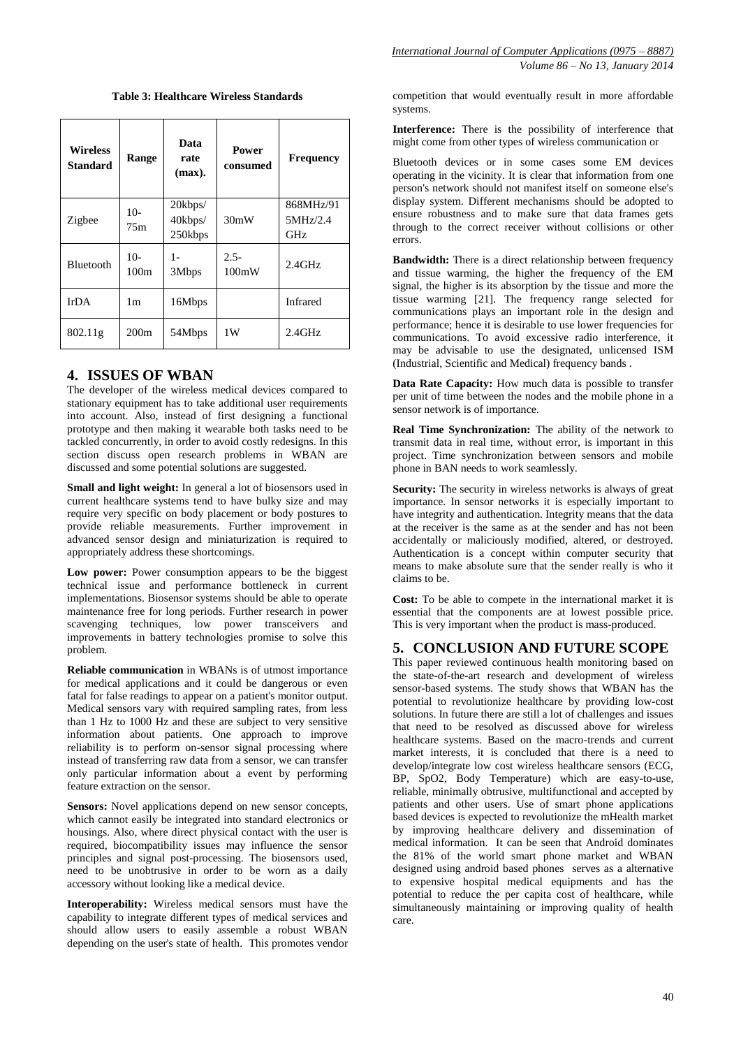| <b>Wireless</b><br>Standard | Range          | Data<br>rate<br>(max).        | <b>Power</b><br>consumed | <b>Frequency</b>             |
|-----------------------------|----------------|-------------------------------|--------------------------|------------------------------|
| Zigbee                      | $10-$<br>75m   | 20kbps/<br>40kbps/<br>250kbps | 30mW                     | 868MHz/91<br>5MHz/2.4<br>GHz |
| <b>Bluetooth</b>            | $10-$<br>100m  | 1-<br>3Mbps                   | $2.5 -$<br>100mW         | $2.4$ GHz                    |
| <b>IrDA</b>                 | 1 <sub>m</sub> | 16Mbps                        |                          | <b>Infrared</b>              |
| 802.11g                     | 200m           | 54Mbps                        | 1W                       | 2.4GHz                       |

## **4. ISSUES OF WBAN**

The developer of the wireless medical devices compared to stationary equipment has to take additional user requirements into account. Also, instead of first designing a functional prototype and then making it wearable both tasks need to be tackled concurrently, in order to avoid costly redesigns. In this section discuss open research problems in WBAN are discussed and some potential solutions are suggested.

**Small and light weight:** In general a lot of biosensors used in current healthcare systems tend to have bulky size and may require very specific on body placement or body postures to provide reliable measurements. Further improvement in advanced sensor design and miniaturization is required to appropriately address these shortcomings.

**Low power:** Power consumption appears to be the biggest technical issue and performance bottleneck in current implementations. Biosensor systems should be able to operate maintenance free for long periods. Further research in power scavenging techniques, low power transceivers and improvements in battery technologies promise to solve this problem.

**Reliable communication** in WBANs is of utmost importance for medical applications and it could be dangerous or even fatal for false readings to appear on a patient's monitor output. Medical sensors vary with required sampling rates, from less than 1 Hz to 1000 Hz and these are subject to very sensitive information about patients. One approach to improve reliability is to perform on-sensor signal processing where instead of transferring raw data from a sensor, we can transfer only particular information about a event by performing feature extraction on the sensor.

**Sensors:** Novel applications depend on new sensor concepts, which cannot easily be integrated into standard electronics or housings. Also, where direct physical contact with the user is required, biocompatibility issues may influence the sensor principles and signal post-processing. The biosensors used, need to be unobtrusive in order to be worn as a daily accessory without looking like a medical device.

**Interoperability:** Wireless medical sensors must have the capability to integrate different types of medical services and should allow users to easily assemble a robust WBAN depending on the user's state of health. This promotes vendor

competition that would eventually result in more affordable systems.

**Interference:** There is the possibility of interference that might come from other types of wireless communication or

Bluetooth devices or in some cases some EM devices operating in the vicinity. It is clear that information from one person's network should not manifest itself on someone else's display system. Different mechanisms should be adopted to ensure robustness and to make sure that data frames gets through to the correct receiver without collisions or other errors.

**Bandwidth:** There is a direct relationship between frequency and tissue warming, the higher the frequency of the EM signal, the higher is its absorption by the tissue and more the tissue warming [21]. The frequency range selected for communications plays an important role in the design and performance; hence it is desirable to use lower frequencies for communications. To avoid excessive radio interference, it may be advisable to use the designated, unlicensed ISM (Industrial, Scientific and Medical) frequency bands .

**Data Rate Capacity:** How much data is possible to transfer per unit of time between the nodes and the mobile phone in a sensor network is of importance.

**Real Time Synchronization:** The ability of the network to transmit data in real time, without error, is important in this project. Time synchronization between sensors and mobile phone in BAN needs to work seamlessly.

**Security:** The security in wireless networks is always of great importance. In sensor networks it is especially important to have integrity and authentication. Integrity means that the data at the receiver is the same as at the sender and has not been accidentally or maliciously modified, altered, or destroyed. Authentication is a concept within computer security that means to make absolute sure that the sender really is who it claims to be.

**Cost:** To be able to compete in the international market it is essential that the components are at lowest possible price. This is very important when the product is mass-produced.

## **5. CONCLUSION AND FUTURE SCOPE**

This paper reviewed continuous health monitoring based on the state-of-the-art research and development of wireless sensor-based systems. The study shows that WBAN has the potential to revolutionize healthcare by providing low-cost solutions. In future there are still a lot of challenges and issues that need to be resolved as discussed above for wireless healthcare systems. Based on the macro-trends and current market interests, it is concluded that there is a need to develop/integrate low cost wireless healthcare sensors (ECG, BP, SpO2, Body Temperature) which are easy-to-use, reliable, minimally obtrusive, multifunctional and accepted by patients and other users. Use of smart phone applications based devices is expected to revolutionize the mHealth market by improving healthcare delivery and dissemination of medical information. It can be seen that Android dominates the 81% of the world smart phone market and WBAN designed using android based phones serves as a alternative to expensive hospital medical equipments and has the potential to reduce the per capita cost of healthcare, while simultaneously maintaining or improving quality of health care.